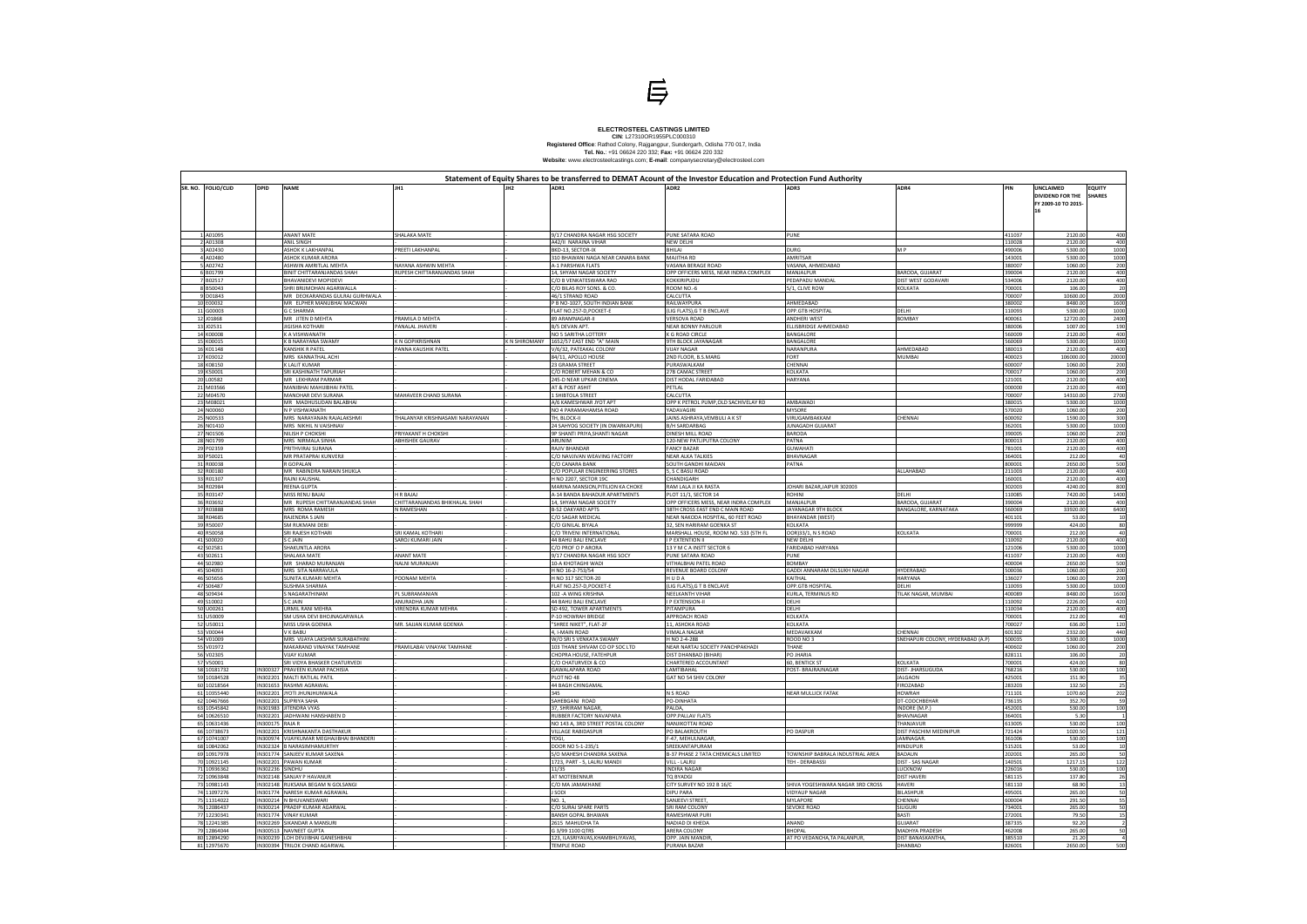

## ELECTROSTEEL CASTINGS LIMITED<br>
CIN: L27310OR1955PLC000310<br>
Registered Office: Rathod Colony, Rajgangpur, Sundergarh, Odisha 770 017, India<br>
Tel. No.: +91 06624 220 332; Fax: +91 06624 220 332<br>
Website: www.electrosteelcast

| PIN              | UNCLAIMED<br><b>DIVIDEND FOR THE</b><br>FY 2009-10 TO 2015-<br>16 | <b>EQUITY</b><br><b>SHARES</b> |
|------------------|-------------------------------------------------------------------|--------------------------------|
| 411037           | 2120.00                                                           | 400                            |
| 110028           | 2120.00                                                           | 400                            |
| 490006           | 5300.00                                                           | 1000                           |
| 143001           | 5300.00                                                           | 1000                           |
| 380007           | 1060.00                                                           | 200                            |
| 390004           | 2120.00                                                           | 400                            |
| 534006<br>700001 | 2120.00                                                           | 400<br>20                      |
| 700007           | 106.00<br>10600.00                                                | 2000                           |
| 380002           | 8480.00                                                           | 1600                           |
| 110093           | 5300.00                                                           | 1000                           |
| 400061           | 12720.00                                                          | 2400                           |
| 380006           | 1007.00                                                           | 190                            |
| 560009<br>560069 | 2120.00<br>5300.00                                                | 400<br>1000                    |
| 380013           | 2120.00                                                           | 400                            |
| 400023           | 106000.00                                                         | 20000                          |
| 600007           | 1060.00                                                           | 200                            |
| 700017           | 1060.00                                                           | 200                            |
| 121001           | 2120.00                                                           | 400                            |
| 000000           | 2120.00                                                           | 400                            |
| 700007<br>380015 | 14310.00<br>5300.00                                               | 2700<br>1000                   |
| 570020           | 1060.00                                                           | 200                            |
| 600092           | 1590.00                                                           | 300                            |
| 362001           | 5300.00                                                           | 1000                           |
| 390005           | 1060.00                                                           | 200                            |
| 800013           | 2120.00                                                           | 400                            |
| 781001           | 2120.00                                                           | 400                            |
| 364001<br>800001 | 212.00<br>2650.00                                                 | 40<br>500                      |
| 211003           | 2120.00                                                           | 400                            |
| 160001           | 2120.00                                                           | 400                            |
| 302003           | 4240.00                                                           | 800                            |
| 110085           | 7420.00                                                           | 1400                           |
| 390004           | 2120.00                                                           | 400                            |
| 560069           | 33920.00                                                          | 6400                           |
| 401101<br>999999 | 53.00<br>424.00                                                   | 10<br>80                       |
| 700001           | 212.00                                                            | 40                             |
| 110092           | 2120.00                                                           | 400                            |
| 121006           | 5300.00                                                           | 1000                           |
| 411037           | 2120.00                                                           | 400                            |
| 400004           | 2650.00                                                           | 500                            |
| 500036           | 1060.00                                                           | 200                            |
| 136027<br>110093 | 1060.00<br>5300.00                                                | 200<br>1000                    |
| 400089           | 8480.00                                                           | 1600                           |
| 110092           | 2226.00                                                           | 420                            |
| 110034           | 2120.00                                                           | 400                            |
| 700001           | 212.00                                                            | 40                             |
| 700027           | 636.00                                                            | 120                            |
| 601302           | 2332.00                                                           | 440<br>1000                    |
| 500035<br>400602 | 5300.00<br>1060.00                                                | 200                            |
| 828111           | 106.00                                                            | 20                             |
| 700001           | 424.00                                                            | 80                             |
| 768216           | 530.00                                                            | 100                            |
| 425001           | 151.90                                                            | 35                             |
| 283203           | 132.50                                                            | 25<br>202                      |
| 711101<br>736135 | 1070.60<br>352.70                                                 | 59                             |
| 452001           | 530.00                                                            | 100                            |
| 364001           | 5.30                                                              | 1                              |
| 613005           | 530.00                                                            | 100                            |
| 721424           | 1020.50                                                           | 121                            |
| 361006           | 530.00                                                            | 100                            |
| 515201           | 53.00<br>265.00                                                   | 10<br>50                       |
| 202001<br>140501 | 1217.15                                                           | 122                            |
| 226016           | 530.00                                                            | 100                            |
| 581115           | 137.80                                                            | 26                             |
| 581110           | 68.90                                                             | 13                             |
| 495001           | 265.00                                                            | 50                             |
| 600004           | 291.50                                                            | 55                             |
| 734001           | 265.00                                                            | 50                             |
| 272001<br>387335 | 79.50<br>92.20                                                    | 15<br>2                        |
| 462008           | 265.00                                                            | 50                             |
| 385510           | 21.20                                                             | 4                              |
| 826001           | 2650.00                                                           | 500                            |

|          | SR. NO. FOLIO/CLID         | <b>DPID</b>          | <b>NAME</b>                                                     | JH1                            |                     |                                                            | Statement of Equity Shares to be transferred to DEMAT Acount of the Investor Education and Protection Fund Authority<br>ADR <sub>2</sub> |                                          | ADR4                              |                  | UNCLAIMED<br>DIVIDEND FOR THE<br>FY 2009-10 TO 2015 | <b>EQUITY</b><br><b>SHARES</b> |
|----------|----------------------------|----------------------|-----------------------------------------------------------------|--------------------------------|---------------------|------------------------------------------------------------|------------------------------------------------------------------------------------------------------------------------------------------|------------------------------------------|-----------------------------------|------------------|-----------------------------------------------------|--------------------------------|
|          |                            |                      |                                                                 |                                |                     |                                                            |                                                                                                                                          |                                          |                                   |                  |                                                     |                                |
|          | A01095                     |                      | <b>ANANT MATE</b>                                               | SHALAKA MATE                   |                     | 1/17 CHANDRA NAGAR HSG SOCIETY                             | PUNE SATARA ROAD                                                                                                                         | PUNE                                     |                                   | 411037           | 2120.00                                             | 400                            |
|          | A01308                     |                      | <b>ANIL SINGH</b>                                               |                                |                     | A42/II NARAINA VIHAR                                       | NEW DELHI                                                                                                                                |                                          |                                   | 110028           | 2120.00                                             | 400                            |
|          | A02430                     |                      | <b>ASHOK K LAKHANPAL</b>                                        | PREETI LAKHANPAL               |                     | BKD-13, SECTOR-IX                                          | BHILAI                                                                                                                                   | <b>DURG</b>                              | M P                               | 490006           | 5300.00                                             | 1000                           |
|          | A02480                     |                      | ASHOK KUMAR ARORA                                               |                                |                     | 310 BHAWANI NAGA NEAR CANARA BANK                          | MAJITHA RD                                                                                                                               | AMRITSAR                                 |                                   | 143001           | 5300.00                                             | 1000                           |
|          | A02742                     |                      | ASHWIN AMRITLAL MEHTA                                           | NAYANA ASHWIN MEHTA            |                     | <b>A-1 PARSHWA FLATS</b>                                   | VASANA BERAGE ROAD                                                                                                                       | VASANA, AHMEDABAD                        |                                   | 380007           | 1060.00                                             | 200                            |
|          | 6 B01799                   |                      | <b>BINIT CHITTARANJANDAS SHAH</b>                               | RUPESH CHITTARANJANDAS SHAH    |                     | 14, SHYAM NAGAR SOCIETY                                    | OPP OFFICERS MESS, NEAR INDRA COMPLEX                                                                                                    | MANJALPUR                                | BARODA, GUJARAT                   | 390004           | 2120.00                                             | 400                            |
|          | B02517<br>B50043           |                      | BHAVANIDEVI MOPIDEVI<br>SHRI BRIJMOHAN AGARWALLA                |                                |                     | C/O B VENKATESWARA RAO<br>C/O BILAS ROY SONS. & CO.        | KOKKIRIPUDU<br>ROOM NO.-6                                                                                                                | <b>EDAPADU MANDAL</b><br>5/1, CLIVE ROW  | DIST WEST GODAVARI<br>KOLKATA     | 534006<br>700001 | 2120.00<br>106.00                                   | 400<br>20                      |
|          | D01843                     |                      | MR DEOKARANDAS GULRAJ GURHWALA                                  |                                |                     | 46/1 STRAND ROAD                                           | CALCUTTA                                                                                                                                 |                                          |                                   | 700007           | 10600.00                                            | 2000                           |
|          | 10 E00032                  |                      | MR ELPHER MANUBHAI MACWAN                                       |                                |                     | P B NO-1027, SOUTH INDIAN BANK                             | RAILWAYPURA                                                                                                                              | AHMEDABAD                                |                                   | 380002           | 8480.00                                             | 1600                           |
|          | 11 G00003                  |                      | <b>G C SHARMA</b>                                               |                                |                     | FLAT NO.257-D,POCKET-E                                     | LIG FLATS), G T B ENCLAVE                                                                                                                | OPP.GTB HOSPITAL                         | DELHI                             | 110093           | 5300.00                                             | 1000                           |
|          | 12 J01868                  |                      | MR JITEN D MEHTA                                                | PRAMILA D MEHTA                |                     | <b>89 ARAMNAGAR-II</b>                                     | <b>VERSOVA ROAD</b>                                                                                                                      | ANDHERI WEST                             | <b>BOMBAY</b>                     | 400061           | 12720.00                                            | 2400                           |
|          | 13 J02531                  |                      | <b>JIGISHA KOTHARI</b>                                          | PANALAL JHAVERI                |                     | B/5 DEVAN APT.                                             | <b>NEAR BONNY PARLOUR</b>                                                                                                                | LLISBRIDGE AHMEDABAD                     |                                   | 380006           | 1007.00                                             | 190                            |
|          | 14 K00008                  |                      | K A VISHWANATH                                                  |                                |                     | NO 5 SARITHA LOTTERY                                       | K G ROAD CIRCLE                                                                                                                          | BANGALORE                                |                                   | 560009           | 2120.00                                             | 400                            |
|          | 15 K00015                  |                      | K B NARAYANA SWAMY                                              | K N GOPIKRISHNAN               | <b>KN SHIROMANY</b> | 1652/57 EAST END "A" MAIN                                  | 9TH BLOCK JAYANAGAR                                                                                                                      | BANGALORE                                |                                   | 60069            | 5300.00                                             | 1000                           |
|          | 16 K01148<br>17 K03012     |                      | <b>KANSHIK R PATEL</b><br>MRS KANNATHAL ACHI                    | PANNA KAUSHIK PATEI            |                     | //6/32, PATEAKAL COLONY<br>84/11, APOLLO HOUSE             | <b>VIJAY NAGAR</b><br>2ND FLOOR, B.S.MARG                                                                                                | NARANPURA<br>FORT                        | AHMEDABAD<br>MUMBAI               | 380013<br>400023 | 2120.00<br>106000.00                                | 400<br>20000                   |
|          | 18 K08150                  |                      | <b>K LALIT KUMAR</b>                                            |                                |                     | 23 GRAMA STREET                                            | PURASWALKAM                                                                                                                              | CHENNAI                                  |                                   | 600007           | 1060.00                                             | 200                            |
|          | 19 K50001                  |                      | SRI KASHINATH TAPURIAH                                          |                                |                     | C/O ROBERT MEHAN & CO                                      | 27B CAMAC STREET                                                                                                                         | KOLKATA                                  |                                   | 700017           | 1060.00                                             | 200                            |
|          | 20 L00582                  |                      | MR LEKHRAM PARMAR                                               |                                |                     | 245-D NEAR UPKAR CINEMA                                    | DIST HODAL FARIDABAD                                                                                                                     | HARYANA                                  |                                   | 121001           | 2120.00                                             | 400                            |
|          | 21 M03566                  |                      | MANIBHAI MAHIJIBHAI PATEI                                       |                                |                     | AT & POST ASHIT                                            | PETLAL                                                                                                                                   |                                          |                                   | 000000           | 2120.00                                             | 400                            |
|          | 22 M04570                  |                      | MANOHAR DEVI SURANA                                             | MAHAVEER CHAND SURANA          |                     | 1 SHIBTOLA STREET                                          | CALCUTTA                                                                                                                                 |                                          |                                   | 700007           | 14310.00                                            | 2700                           |
|          | 23 M08021                  |                      | MR MADHUSUDAN BALABHAI                                          |                                |                     | 4/6 KAMESHWAR JYOT APT                                     | OPP K PETROL PUMP, OLD SACHIVELAY RD                                                                                                     | AMBAWADI                                 |                                   | 380015           | 5300.00                                             | 1000                           |
|          | 24 N00060                  |                      | N P VISHWANATH                                                  |                                |                     | NO 4 PARAMAHAMSA ROAD                                      | YADAVAGIRI                                                                                                                               | MYSORE                                   |                                   | 570020           | 1060.00                                             | 200                            |
| 26       | 25 N00533<br>N01410        |                      | MRS NARAYANAN RAJALAKSHMI<br>MRS NIKHIL N VAISHNAV              | HALANYAR KRISHNASAMI NARAYANAN |                     | TH, BLOCK-II<br>24 SAHYOG SOCIETY (IN DWARKAPURI)          | JAINS ASHRAYA, VEMBULI A K ST<br><b>B/H SARDARBAG</b>                                                                                    | VIRUGAMBAKKAM<br><b>JUNAGADH GUJARAT</b> | CHENNAI                           | 600092<br>362001 | 1590.00<br>5300.00                                  | 300<br>1000                    |
|          | 27 N01506                  |                      | NILISH P CHOKSHI                                                | PRIYAKANT H CHOKSHI            |                     | 9P SHANTI PRIYA, SHANTI NAGAR                              | DINESH MILL ROAD                                                                                                                         | BARODA                                   |                                   | 390005           | 1060.00                                             | 200                            |
|          | 28 N01799                  |                      | MRS NIRMALA SINHA                                               | <b>ABHISHEK GAURAV</b>         |                     | ARUNIM                                                     | 120-NEW PATLIPUTRA COLONY                                                                                                                | PATNA                                    |                                   | 800013           | 2120.00                                             | 400                            |
|          | 29 P02359                  |                      | PRITHVIRAJ SURANA                                               |                                |                     | RAJIV BHANDAR                                              | <b>FANCY BAZAR</b>                                                                                                                       | <b>GUWAHAT</b>                           |                                   | 781001           | 2120.00                                             | 400                            |
|          | 30 P50021                  |                      | MR PRATAPRAI KUNVERJI                                           |                                |                     | C/O NAVJIVAN WEAVING FACTORY                               | <b>NEAR ALKA TALKIES</b>                                                                                                                 | BHAVNAGAR                                |                                   | 364001           | 212.00                                              | 40                             |
|          | 31 R00038                  |                      | R GOPALAN                                                       |                                |                     | C/O CANARA BANK                                            | SOUTH GANDHI MAIDAN                                                                                                                      | PATNA                                    |                                   | 800001           | 2650.00                                             | 500                            |
|          | 32 R00180                  |                      | MR RABINDRA NARAIN SHUKLA                                       |                                |                     | C/O POPULAR ENGINEERING STORES                             | 5, S C BASU ROAD                                                                                                                         |                                          | ALLAHABAD                         | 211003           | 2120.00                                             | 400                            |
|          | 33 R01307<br>34 R02984     |                      | RAJNI KAUSHAL                                                   |                                |                     | H NO 2207, SECTOR 19C<br>MARINA MANSION, PITILION KA CHOKE | CHANDIGARH<br>RAM LALA JI KA RASTA                                                                                                       |                                          |                                   | 160001<br>302003 | 2120.00<br>4240.00                                  | 400<br>800                     |
|          | 35 R03147                  |                      | REENA GUPTA<br>MISS RENU BAJAJ                                  | H R BAJAJ                      |                     | A-14 BANDA BAHADUR APARTMENTS                              | PLOT 11/1, SECTOR 14                                                                                                                     | JOHARI BAZAR, JAIPUR 302003<br>ROHINI    | DELHI                             | 110085           | 7420.00                                             | 1400                           |
|          | 36 R03692                  |                      | MR RUPESH CHITTARANJANDAS SHAH                                  | CHITTARANJANDAS BHIKHALAL SHAH |                     | 14, SHYAM NAGAR SOCIETY                                    | OPP OFFICERS MESS, NEAR INDRA COMPLEX                                                                                                    | MANJALPUR                                | BARODA, GUJARAT                   | 390004           | 2120.00                                             | 400                            |
|          | 37 R03888                  |                      | MRS ROMA RAMESH                                                 | N RAMESHAN                     |                     | <b>B-52 OAKYARD APTS</b>                                   | 38TH CROSS EAST END C MAIN ROAD                                                                                                          | JAYANAGAR 9TH BLOCK                      | BANGALORE, KARNATAKA              | 560069           | 33920.00                                            | 6400                           |
|          | 38 R04685                  |                      | RAJENDRA S JAIN                                                 |                                |                     | C/O SAGAR MEDICAL                                          | NEAR NAKODA HOSPITAL, 60 FEET ROAD                                                                                                       | <b>BHAYANDAR (WEST)</b>                  |                                   | 401101           | 53.00                                               | 10                             |
|          | 39 R50007                  |                      | <b>SM RUKMANI DEBI</b>                                          |                                |                     | C/O GINILAL BIYALA                                         | 32, SEN HARIRAM GOENKA ST                                                                                                                | KOLKATA                                  |                                   | 999999           | 424.00                                              | 80                             |
|          | 40 R50058                  |                      | SRI RAJESH KOTHARI                                              | SRI KAMAL KOTHARI              |                     | C/O TRIVENI INTERNATIONAL                                  | MARSHALL HOUSE, ROOM NO. 533 (5TH FL                                                                                                     | OOR)33/1, N S ROAD                       | <b>KOLKATA</b>                    | 700001           | 212.00                                              | 40                             |
|          | 41 S00020                  |                      | S C JAIN                                                        | SAROJ KUMARI JAIN              |                     | <b>44 BAHU BALI ENCLAVE</b>                                | <b>P EXTENTION II</b>                                                                                                                    | NEW DELHI                                |                                   | 110092           | 2120.00                                             | 400                            |
|          | 42 S02581<br>43 S02611     |                      | SHAKUNTLA ARORA<br><b>SHALAKA MATE</b>                          | <b>ANANT MATE</b>              |                     | C/O PROF O P ARORA<br>9/17 CHANDRA NAGAR HSG SOCY          | 13 Y M C A INSTT SECTOR 6<br>PUNE SATARA ROAD                                                                                            | FARIDABAD HARYANA<br>PUNE                |                                   | 121006<br>411037 | 5300.00<br>2120.00                                  | 1000<br>400                    |
|          | 44 S02980                  |                      | MR SHARAD MURANJAN                                              | NALNI MURANJAN                 |                     | 10-A KHOTAGHI WADI                                         | VITHALBHAI PATEL ROAD                                                                                                                    | BOMBAY                                   |                                   | 400004           | 2650.00                                             | 500                            |
|          | 45 S04093                  |                      | MRS SITA NARRAVULA                                              |                                |                     | H NO 16-2-753/54                                           | REVENUE BOARD COLONY                                                                                                                     | GADDI ANNARAM DILSUKH NAGAR              | <b>HYDERABAD</b>                  | 500036           | 1060.00                                             | 200                            |
|          | 46 S05656                  |                      | <b>SUNITA KUMARI MEHTA</b>                                      | POONAM MEHTA                   |                     | H NO 317 SECTOR-20                                         | HUDA                                                                                                                                     | KAITHAL                                  | <b>HARYANA</b>                    | 136027           | 1060.00                                             | 200                            |
|          | 47 S06487                  |                      | SUSHMA SHARMA                                                   |                                |                     | FLAT NO.257-D, POCKET-E                                    | (LIG FLATS), G T B ENCLAVE                                                                                                               | OPP.GTB HOSPITAL                         | DELHI                             | 110093           | 5300.00                                             | 1000                           |
|          | 48 S09434                  |                      | S NAGARATHINAM                                                  | PL SUBRAMANIAN                 |                     | 102 - A WING KRISHNA                                       | NEELKANTH VIHAR                                                                                                                          | KURLA, TERMINUS RD                       | TILAK NAGAR, MUMBAI               | 400089           | 8480.00                                             | 1600                           |
|          | 49 S10002                  |                      | S C JAIN                                                        | ANURADHA JAIN                  |                     | <b>44 BAHU BALI ENCLAVE</b>                                | <b>I P EXTENSION-II</b>                                                                                                                  | DELHI                                    |                                   | 110092           | 2226.00                                             | 420                            |
|          | J00261<br>J50009           |                      | URMIL RANI MEHRA<br>SM USHA DEVI BHOJNAGARWALA                  | VIRENDRA KUMAR MEHRA           |                     | SD 492, TOWER APARTMENTS<br>P-10 HOWRAH BRIDGE             | PITAMPURA<br>APPROACH ROAD                                                                                                               | DELHI<br>KOLKATA                         |                                   | 110034<br>700001 | 2120.00<br>212.00                                   | 400<br>40                      |
|          | U50011                     |                      | MISS USHA GOENKA                                                | MR. SAJJAN KUMAR GOENKA        |                     | "SHREE NIKET", FLAT-2F                                     | 11, ASHOKA ROAD                                                                                                                          | KOLKATA                                  |                                   | 700027           | 636.00                                              | 120                            |
|          | 53 V00044                  |                      | V K BABU                                                        |                                |                     | I, I-MAIN ROAD                                             | <b>VIMALA NAGAR</b>                                                                                                                      | MEDAVAKKAM                               | <b>CHENNAI</b>                    | 601302           | 2332.00                                             | 440                            |
|          | /01009                     |                      | MRS VIJAYA LAKSHMI SURABATHINI                                  |                                |                     | N/O SRI S VENKATA SWAMY                                    | I NO 2-4-288                                                                                                                             | <b>ROOD NO 3</b>                         | SNEHAPURI COLONY, HYDERABAD (A.P) | 500035           | 5300.00                                             | 1000                           |
|          | V01972                     |                      | MAKARAND VINAYAK TAMHANE                                        | PRAMILABAI VINAYAK TAMHANE     |                     | 103 THANE SHIVAM CO OP SOC LTD                             | NEAR NARTAJ SOCIETY PANCHPAKHADI                                                                                                         | THANE                                    |                                   | 400602           | 1060.00                                             | 200                            |
| 56       | /02305                     |                      | <b>VIJAY KUMAR</b>                                              |                                |                     | CHOPRA HOUSE, FATEHPUR                                     | DIST DHANBAD (BIHAR)                                                                                                                     | PO JHARIA                                |                                   | 328111           | 106.00                                              | 20                             |
|          | 57 I V50001                |                      | SRI VIDYA BHASKER CHATURVEDI                                    |                                |                     | L/U CHATURVEDI & CO                                        | .HAKTEKED ACCOUNTANT                                                                                                                     | <b>60. BENTICK ST</b>                    | KOLKATA                           | /UUUU1           | 424.00                                              |                                |
|          | 58 10181732                |                      | IN300327 PRAVEEN KUMAR PACHISIA<br>IN302201 MALTI RATILAL PATIL |                                |                     | <b>GAWALAPARA ROAD</b>                                     | LAMTIBAHAL                                                                                                                               | POST- BRAJRAJNAGAR                       | DIST- JHARSUGUDA                  | 768216           | 530.00                                              | 100                            |
|          | 59 10184528<br>60 10218564 |                      | IN301653 RASHMI AGRAWAL                                         |                                |                     | PLOT NO 48<br><b>44 BAGH CHINGAMAL</b>                     | GAT NO 54 SHIV COLONY                                                                                                                    |                                          | <b>JALGAON</b><br>FIROZABAD       | 425001<br>283203 | 151.90<br>132.50                                    | -35                            |
|          | 61 10355440                |                      | IN302201 JYOTI JHUNJHUNWALA                                     |                                |                     | 345                                                        | N S ROAD                                                                                                                                 | NEAR MULLICK FATAK                       | <b>HOWRAH</b>                     | 711101           | 1070.60                                             | 25<br>202                      |
|          | 62 10467666                |                      | IN302201 SUPRIYA SAHA                                           |                                |                     | SAHEBGANJ ROAD                                             | PO-DINHATA                                                                                                                               |                                          | DT-COOCHBEHAR                     | 736135           | 352.70                                              | 59                             |
|          | 63 10545842                |                      | IN301983 JITENDRA VYAS                                          |                                |                     | 37. SHRIRAM NAGAR                                          | PALDA,                                                                                                                                   |                                          | INDORE (M.P.                      | 452001           | 530.00                                              | 100                            |
|          | 64 10626510                |                      | IN302201 JADHWANI HANSHABEN D                                   |                                |                     | RUBBER FACTORY NAVAPARA                                    | OPP.PALLAV FLATS                                                                                                                         |                                          | <b>BHAVNAGAR</b>                  | 364001           | 5.30                                                |                                |
|          | 65 10631436                | IN300175             | RAJA R                                                          |                                |                     | NO 143 A, 3RD STREET POSTAL COLONY                         | NANJIKOTTAI ROAD                                                                                                                         |                                          | THANJAVUR                         | 613005           | 530.00                                              | 100                            |
|          | 66 10738673                | IN302201             | KRISHNAKANTA DASTHAKUR                                          |                                |                     | <b>VILLAGE RABIDASPUR</b>                                  | PO BALAKROUTH                                                                                                                            | PO DASPUR                                | DIST PASCHIM MEDINIPUR            | 721424           | 1020.50                                             | 121                            |
|          | 67 10741007                |                      | IN300974 VIJAYKUMAR MEGHAJIBHAI BHANDERI                        |                                |                     | YOGI,                                                      | F-47, MEHULNAGAR,                                                                                                                        |                                          | JAMNAGAR.                         | 361006           | 530.00                                              | 100                            |
| 68<br>69 | 10842062<br>10917978       | IN302324<br>IN301774 | <b>B NARASIMHAMURTHY</b><br>SANJEEV KUMAR SAXENA                |                                |                     | DOOR NO 5-1-235/1<br>S/O MAHESH CHANDRA SAXENA             | SREEKANTAPURAM<br><b>B-37 PHASE 2 TATA CHEMICALS LIMITED</b>                                                                             | TOWNSHIP BABRALA INDUSTRIAL AREA         | <b>HINDUPUR</b><br><b>BADAUN</b>  | 515201<br>202001 | 53.00<br>265.00                                     | 10<br>50                       |
|          | 70 10921145                | IN302201             | PAWAN KUMAR                                                     |                                |                     | 1723, PART - 5, LALRU MANDI                                | VILL - LALRU                                                                                                                             | TEH - DERABASSI                          | DIST - SAS NAGAR                  | 140501           | 1217.15                                             | 122                            |
|          | 71 10936362                | IN302236             | SINDHU                                                          |                                |                     | 11/35                                                      | <b>INDIRA NAGAR</b>                                                                                                                      |                                          | LUCKNOW                           | 226016           | 530.00                                              | 100                            |
|          | 72 10963848                |                      | IN302148 SANJAY P HAVANUR                                       |                                |                     | AT MOTEBENNUR                                              | TQ BYADGI                                                                                                                                |                                          | <b>DIST HAVER</b>                 | 581115           | 137.80                                              | 26                             |
|          | 73 10981143                |                      | IN302148 RUKSANA BEGAM N GOLSANGI                               |                                |                     | C/O MA JAMAKHANE                                           | CITY SURVEY NO 192 B 16/C                                                                                                                | SHIVA YOGESHWARA NAGAR 3RD CROSS         | <b>HAVERI</b>                     | 581110           | 68.90                                               | 13                             |
|          | 74 11097276                |                      | IN301774 NARESH KUMAR AGRAWAL                                   |                                |                     | <b>SODI</b>                                                | <b>DIPU PARA</b>                                                                                                                         | <b>VIDYAUP NAGAR</b>                     | <b>BILASHPUR</b>                  | 495001           | 265.00                                              | 50                             |
|          | 75 11314022                |                      | IN300214 N BHUVANESWARI                                         |                                |                     | NO. 1,                                                     | SANJEEVI STREET                                                                                                                          | MYLAPORE                                 | CHENNAI                           | 600004           | 291.50                                              | 55                             |
|          | 76 12086437                |                      | IN300214 PRADIP KUMAR AGARWAL                                   |                                |                     | C/O SURAJ SPARE PARTS                                      | SRI RAM COLONY                                                                                                                           | SEVOKE ROAD                              | SILIGURI                          | 734001           | 265.00                                              | 50                             |
|          | 77 12230341                |                      | IN301774 VINAY KUMAR                                            |                                |                     | BANSH GOPAL BHAWAN                                         | RAMESHWAR PURI                                                                                                                           |                                          | <b>BASTI</b>                      | 272001           | 79.50                                               | 15                             |
|          | 78 12241385<br>79 12864044 |                      | IN302269 SIKANDAR A MANSURI<br>IN300513 NAVNEET GUPTA           |                                |                     | 2615 MAHUDHA TA<br>G 3/99 1100 QTRS                        | NADIAD DI KHEDA<br>ARERA COLONY                                                                                                          | ANAND<br><b>BHOPAL</b>                   | <b>GUJARAT</b><br>MADHYA PRADESH  | 387335<br>462008 | 92.20<br>265.00                                     | 50                             |
|          | 80 12894290                |                      | IN300239 LOH DEVJIBHAI GANESHBHAI                               |                                |                     | 123, ILASRIYAVAS, KHAMBHLIYAVAS,                           | OPP. JAIN MANDIR                                                                                                                         | AT PO VEDANCHA, TA PALANPUR,             | DIST BANASKANTHA,                 | 385510           | 21.20                                               |                                |
|          | 81 12975670                |                      | IN300394 TRILOK CHAND AGARWAL                                   |                                |                     | TEMPLE ROAD                                                | PURANA BAZAR                                                                                                                             |                                          | DHANBAD                           | 826001           | 2650.00                                             | 500                            |